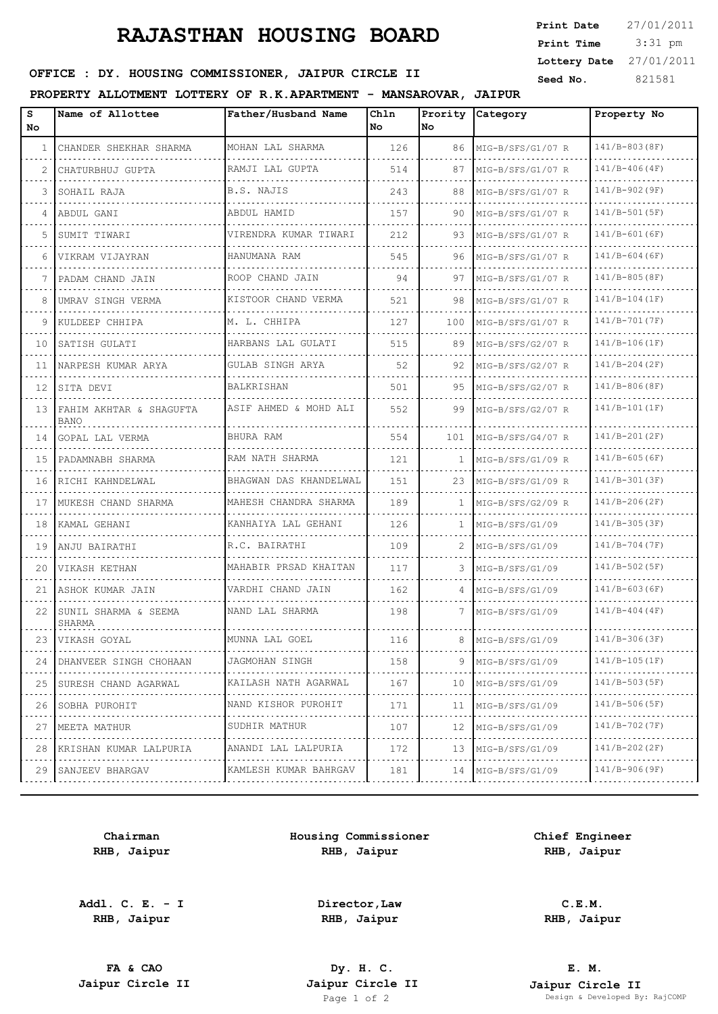## **RAJASTHAN HOUSING BOARD**

 3:31 pm **Print Date**  $27/01/2011$ **Print Time Lottery Date** 27/01/2011

## **SEED OFFICE : DY. HOUSING COMMISSIONER, JAIPUR CIRCLE II** Seed No. 321581

### **PROPERTY ALLOTMENT LOTTERY OF R.K.APARTMENT - MANSAROVAR, JAIPUR**

| s<br>No | Name of Allottee                   | Father/Husband Name                 | Chln<br>No | No.          | Prority Category       | Property No          |
|---------|------------------------------------|-------------------------------------|------------|--------------|------------------------|----------------------|
| 1       | CHANDER SHEKHAR SHARMA             | MOHAN LAL SHARMA                    | 126        |              | 86   MIG-B/SFS/G1/07 R | 141/B-803(8F)        |
| 2       | CHATURBHUJ GUPTA                   | RAMJI LAL GUPTA<br>.                | 514        | 87           | MIG-B/SFS/G1/07 R      | $141/B-406(B)$       |
| 3       | SOHAIL RAJA                        | B.S. NAJIS                          | 243        | 88           | MIG-B/SFS/G1/07 R      | 141/B-902(9F)        |
| 4       | ABDUL GANI                         | ABDUL HAMID                         | 157        | 90.          | MIG-B/SFS/G1/07 R      | $141/B-501(SF)$      |
| 5       | SUMIT TIWARI                       | VIRENDRA KUMAR TIWARI<br>.          | 212        | 93.          | MIG-B/SFS/G1/07 R      | 141/B-601(6F)        |
| 6       | VIKRAM VIJAYRAN                    | HANUMANA RAM<br>.                   | 545        | 96.          | MIG-B/SFS/G1/07 R      | $141/B-604(B)$       |
| 7       | PADAM CHAND JAIN                   | ROOP CHAND JAIN                     | 94         | 97           | MIG-B/SFS/G1/07 R      | 141/B-805(8F)        |
| 8       | UMRAV SINGH VERMA                  | KISTOOR CHAND VERMA                 | 521        | 98           | MIG-B/SFS/G1/07 R      | $141/B-104(IF)$      |
| 9       | KULDEEP CHHIPA                     | M. L. CHHIPA                        | 127        | 100          | MIG-B/SFS/G1/07 R      | 141/B-701(7F)        |
| 10      | SATISH GULATI                      | HARBANS LAL GULATI                  | 515        | 89           | MIG-B/SFS/G2/07 R      | $141/B-106(IF)$      |
| 11      | NARPESH KUMAR ARYA                 | GULAB SINGH ARYA                    | 52         | 92           | MIG-B/SFS/G2/07 R      | $141/B-204(ZF)$      |
| 12      | SITA DEVI                          | <b>BALKRISHAN</b>                   | 501        | 95.          | MIG-B/SFS/G2/07 R      | 141/B-806(8F)        |
|         | 13 FAHIM AKHTAR & SHAGUFTA<br>BANO | ASIF AHMED & MOHD ALI               | 552        | 99           | MIG-B/SFS/G2/07 R      | $141/B-101(IF)$      |
|         | 14   GOPAL LAL VERMA               | BHURA RAM<br>.                      | 554        | 101          | MIG-B/SFS/G4/07 R      | 141/B-201(2F)        |
| 15      | PADAMNABH SHARMA                   | RAM NATH SHARMA                     | 121        |              | MIG-B/SFS/G1/09 R      | $141/B-605(BF)$      |
|         | 16   RICHI KAHNDELWAL              | BHAGWAN DAS KHANDELWAL<br>.         | 151        | 23           | MIG-B/SFS/G1/09 R      | 141/B-301(3F)        |
| 17      | MUKESH CHAND SHARMA                | MAHESH CHANDRA SHARMA<br>.          | 189        |              | MIG-B/SFS/G2/09 R      | $141/B-206(2F)$      |
|         | 18   KAMAL GEHANI                  | KANHAIYA LAL GEHANI                 | 126        | $\mathbf{1}$ | MIG-B/SFS/G1/09        | $141/B-305(B)$       |
| 19      | ANJU BAIRATHI                      | R.C. BAIRATHI                       | 109        | 2            | MIG-B/SFS/G1/09        | 141/B-704(7F)        |
| 20      | VIKASH KETHAN                      | MAHABIR PRSAD KHAITAN               | 117        | 3.           | MIG-B/SFS/G1/09        | $141/B-502(SF)$      |
| 21      | ASHOK KUMAR JAIN                   | VARDHI CHAND JAIN<br>.              | 162        | 4            | MIG-B/SFS/G1/09        | $141/B-603(BF)$      |
| 22      | SUNIL SHARMA & SEEMA<br>SHARMA     | NAND LAL SHARMA                     | 198        | 7            | MIG-B/SFS/G1/09        | $141/B-404(4F)$      |
|         | 23 VIKASH GOYAL                    | MUNNA LAL GOEL<br>----------------- | 116        |              | 8   MIG-B/SFS/G1/09    | 141/B-306(3F)<br>.   |
| 24      | DHANVEER SINGH CHOHAAN             | JAGMOHAN SINGH                      | 158        | 9            | MIG-B/SFS/G1/09        | 141/B-105(1F)        |
| 25      | SURESH CHAND AGARWAL               | KAILASH NATH AGARWAL<br>.           | 167        | 10           | MIG-B/SFS/G1/09<br>.   | $141/B-503(B)$       |
| 26      | SOBHA PUROHIT<br>.                 | NAND KISHOR PUROHIT<br>.            | 171        | 11           | MIG-B/SFS/G1/09        | $141/B-506(B)$       |
| 27      | MEETA MATHUR<br>.                  | SUDHIR MATHUR<br>.                  | 107        | 12           | MIG-B/SFS/G1/09<br>.   | $141/B-702(TF)$<br>. |
| 28      | KRISHAN KUMAR LALPURIA<br>.        | ANANDI LAL LALPURIA<br>.            | 172        | 13           | MIG-B/SFS/G1/09        | 141/B-202(2F)        |
| 29      | SANJEEV BHARGAV                    | KAMLESH KUMAR BAHRGAV<br>.          | 181        | 14           | MIG-B/SFS/G1/09        | $141/B-906(9F)$      |
|         |                                    |                                     |            |              |                        |                      |

**Chairman RHB, Jaipur**

**Addl. C. E. - I RHB, Jaipur**

**Housing Commissioner RHB, Jaipur**

**Chief Engineer RHB, Jaipur**

**Director,Law RHB, Jaipur**

**C.E.M. RHB, Jaipur**

**FA & CAO Dy. H. C.**

**E. M. Jaipur Circle II Jaipur Circle II Jaipur Circle II Jaipur Circle II Jaipur Circle II Page 1 of 2 Design & Developed By** Design & Developed By: RajCOMP